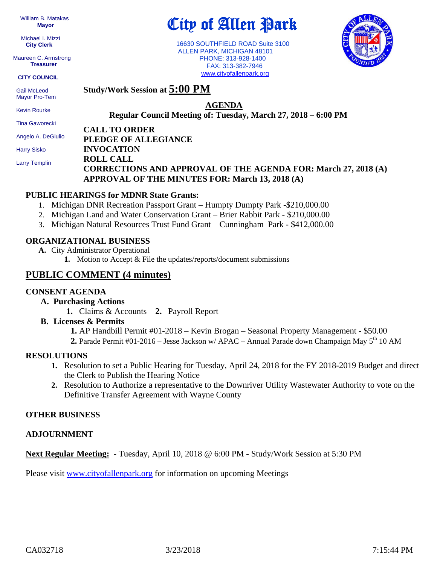William B. Matakas  **Mayor**

 Michael I. Mizzi **City Clerk**

Maureen C. Armstrong **Treasurer**

**CITY COUNCIL**

 Gail McLeod Mayor Pro-Tem

 Kevin Rourke Tina Gaworecki Angelo A. DeGiulio **AGENDA**

**Regular Council Meeting of: Tuesday, March 27, 2018 – 6:00 PM** 

City of Allen Park

 16630 SOUTHFIELD ROAD Suite 3100 ALLEN PARK, MICHIGAN 48101 PHONE: 313-928-1400 FAX: 313-382-7946 [www.cityofallenpark.org](http://www.cityofallenpark.org/)

**CALL TO ORDER**

**Study/Work Session at 5:00 PM**

 Harry Sisko Larry Templin

# **PLEDGE OF ALLEGIANCE INVOCATION ROLL CALL CORRECTIONS AND APPROVAL OF THE AGENDA FOR: March 27, 2018 (A) APPROVAL OF THE MINUTES FOR: March 13, 2018 (A)**

# **PUBLIC HEARINGS for MDNR State Grants:**

- 1. Michigan DNR Recreation Passport Grant Humpty Dumpty Park -\$210,000.00
- 2. Michigan Land and Water Conservation Grant Brier Rabbit Park \$210,000.00
- 3. Michigan Natural Resources Trust Fund Grant Cunningham Park \$412,000.00

# **ORGANIZATIONAL BUSINESS**

- **A.** City Administrator Operational
	- **1.** Motion to Accept & File the updates/reports/document submissions

# **PUBLIC COMMENT (4 minutes)**

### **CONSENT AGENDA**

- **A. Purchasing Actions**
	- **1.** Claims & Accounts **2.** Payroll Report

# **B. Licenses & Permits**

 **1.** AP Handbill Permit #01-2018 – Kevin Brogan – Seasonal Property Management - \$50.00

**2.** Parade Permit #01-2016 – Jesse Jackson w/ APAC – Annual Parade down Champaign May 5<sup>th</sup> 10 AM

### **RESOLUTIONS**

- **1.** Resolution to set a Public Hearing for Tuesday, April 24, 2018 for the FY 2018-2019 Budget and direct the Clerk to Publish the Hearing Notice
- **2.** Resolution to Authorize a representative to the Downriver Utility Wastewater Authority to vote on the Definitive Transfer Agreement with Wayne County

### **OTHER BUSINESS**

### **ADJOURNMENT**

**Next Regular Meeting: -** Tuesday, April 10, 2018 @ 6:00 PM **-** Study/Work Session at 5:30 PM

Please visit [www.cityofallenpark.org](http://www.cityofallenpark.org/) for information on upcoming Meetings